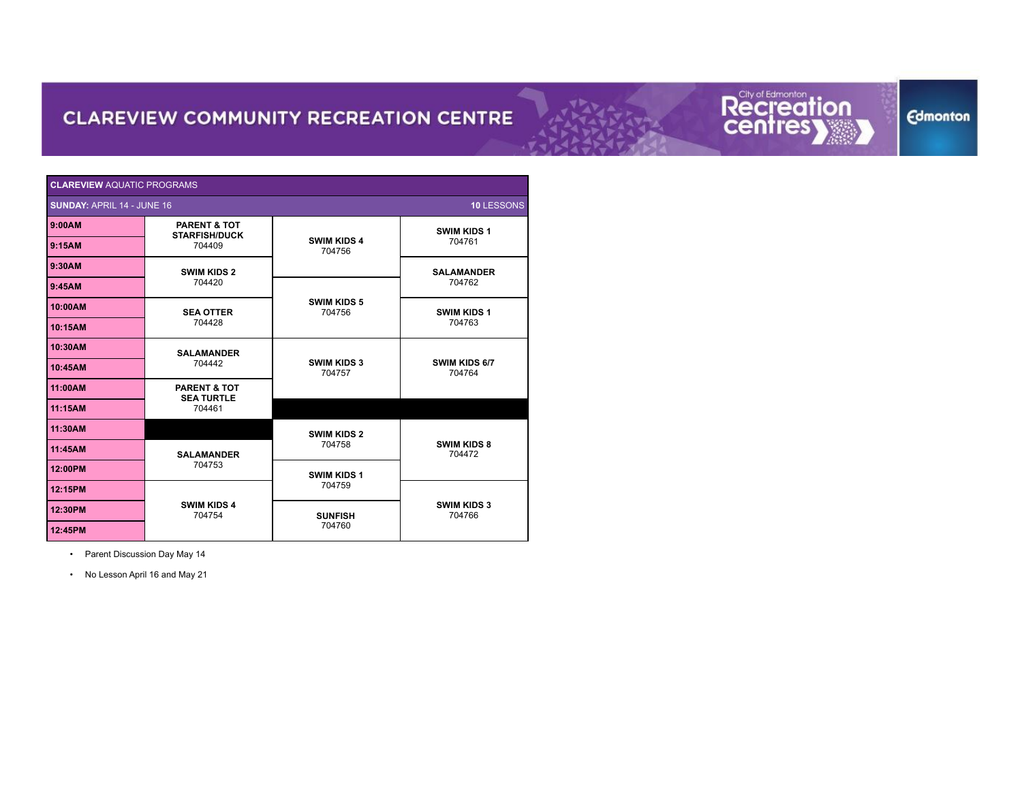## Recreation



| <b>CLAREVIEW AQUATIC PROGRAMS</b>                      |                                                 |                              |                              |  |
|--------------------------------------------------------|-------------------------------------------------|------------------------------|------------------------------|--|
| <b>SUNDAY: APRIL 14 - JUNE 16</b><br><b>10 LESSONS</b> |                                                 |                              |                              |  |
| 9:00AM                                                 | <b>PARENT &amp; TOT</b><br><b>STARFISH/DUCK</b> |                              | <b>SWIM KIDS 1</b>           |  |
| 9:15AM                                                 | 704409                                          | <b>SWIM KIDS 4</b><br>704756 | 704761                       |  |
| 9:30AM                                                 | <b>SWIM KIDS 2</b>                              |                              | <b>SALAMANDER</b>            |  |
| 9:45AM                                                 | 704420                                          |                              | 704762                       |  |
| 10:00AM                                                | <b>SEA OTTER</b>                                | <b>SWIM KIDS 5</b><br>704756 | <b>SWIM KIDS 1</b><br>704763 |  |
| 10:15AM                                                | 704428                                          |                              |                              |  |
| 10:30AM                                                | <b>SALAMANDER</b>                               |                              | SWIM KIDS 6/7<br>704764      |  |
| 10:45AM                                                | 704442                                          | <b>SWIM KIDS 3</b><br>704757 |                              |  |
| 11:00AM                                                | <b>PARENT &amp; TOT</b><br><b>SEA TURTLE</b>    |                              |                              |  |
| 11:15AM                                                | 704461                                          |                              |                              |  |
| 11:30AM                                                |                                                 | <b>SWIM KIDS 2</b>           |                              |  |
| 11:45AM                                                | <b>SALAMANDER</b>                               | 704758                       | <b>SWIM KIDS 8</b><br>704472 |  |
| 12:00PM                                                | 704753                                          | <b>SWIM KIDS 1</b>           |                              |  |
| 12:15PM                                                |                                                 | 704759                       | <b>SWIM KIDS 3</b><br>704766 |  |
| 12:30PM                                                | <b>SWIM KIDS 4</b><br>704754                    | <b>SUNFISH</b>               |                              |  |
| 12:45PM                                                |                                                 | 704760                       |                              |  |

• Parent Discussion Day May 14

• No Lesson April 16 and May 21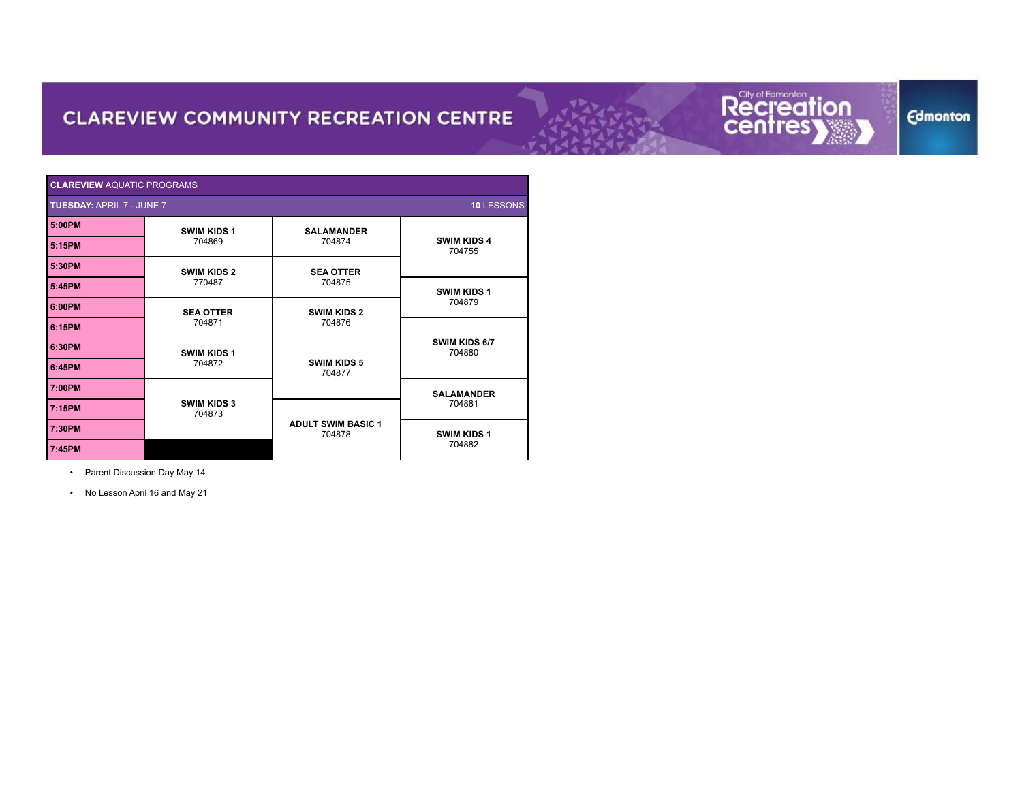### Recreation



| CLAREVIEW AQUATIC PROGRAMS                     |                              |                                     |                              |  |
|------------------------------------------------|------------------------------|-------------------------------------|------------------------------|--|
| <b>TUESDAY: APRIL 7 - JUNE 7</b><br>10 LESSONS |                              |                                     |                              |  |
| 5:00PM                                         | <b>SWIM KIDS 1</b>           | <b>SALAMANDER</b>                   |                              |  |
| 5:15PM                                         | 704869                       | 704874                              | <b>SWIM KIDS 4</b><br>704755 |  |
| 5:30PM                                         | <b>SWIM KIDS 2</b>           | <b>SEA OTTER</b>                    |                              |  |
| 5:45PM                                         | 770487                       | 704875                              | <b>SWIM KIDS 1</b><br>704879 |  |
| 6:00PM                                         | <b>SEA OTTER</b>             | <b>SWIM KIDS 2</b>                  |                              |  |
| 6:15PM                                         | 704871                       | 704876                              |                              |  |
| 6:30PM                                         | <b>SWIM KIDS 1</b>           |                                     | SWIM KIDS 6/7<br>704880      |  |
| 6:45PM                                         | 704872                       | <b>SWIM KIDS 5</b><br>704877        |                              |  |
| 7:00PM                                         |                              |                                     | <b>SALAMANDER</b>            |  |
| 7:15PM                                         | <b>SWIM KIDS 3</b><br>704873 |                                     | 704881                       |  |
| 7:30PM                                         |                              | <b>ADULT SWIM BASIC 1</b><br>704878 | <b>SWIM KIDS 1</b>           |  |
| 7:45PM                                         |                              |                                     | 704882                       |  |

• Parent Discussion Day May 14

• No Lesson April 16 and May 21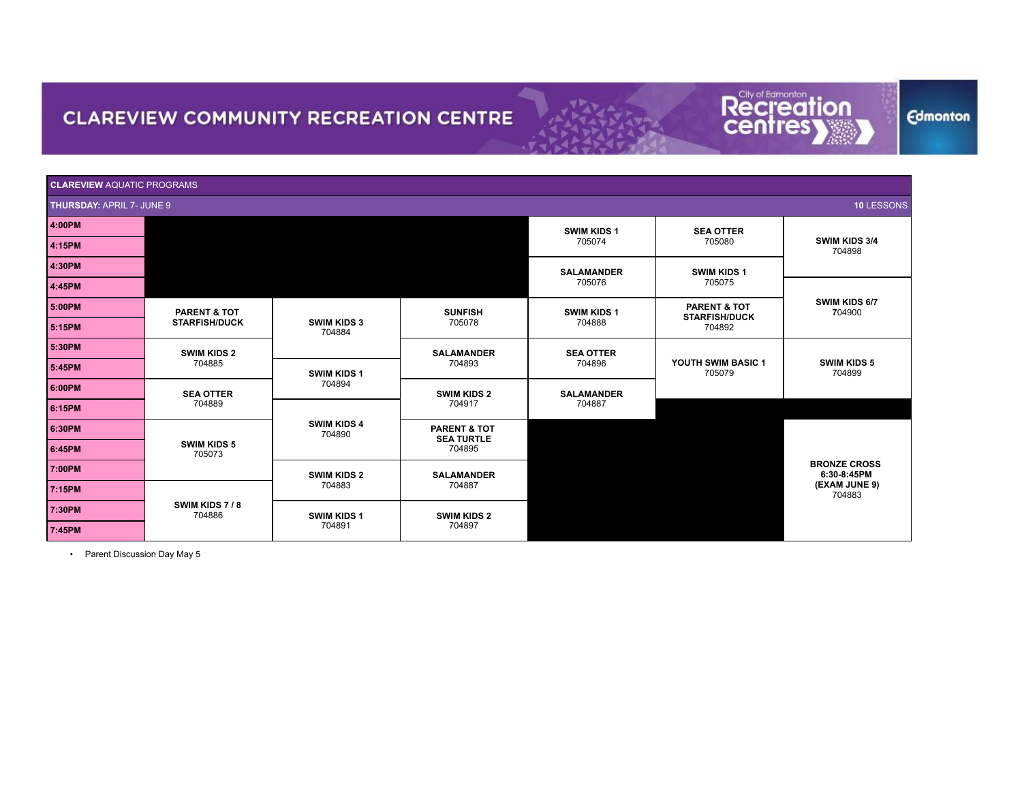

**Edmonton** 

| <b>CLAREVIEW AQUATIC PROGRAMS</b> |                                                 |                              |                                                                             |                             |                                                           |                                    |
|-----------------------------------|-------------------------------------------------|------------------------------|-----------------------------------------------------------------------------|-----------------------------|-----------------------------------------------------------|------------------------------------|
| <b>THURSDAY: APRIL 7- JUNE 9</b>  |                                                 |                              |                                                                             |                             |                                                           | 10 LESSONS                         |
| 4:00PM                            |                                                 |                              |                                                                             | <b>SWIM KIDS 1</b>          | <b>SEA OTTER</b>                                          |                                    |
| 4:15PM                            |                                                 |                              |                                                                             | 705074                      | 705080                                                    | SWIM KIDS 3/4<br>704898            |
| 4:30PM                            |                                                 |                              |                                                                             | <b>SALAMANDER</b>           | <b>SWIM KIDS 1</b>                                        |                                    |
| 4:45PM                            |                                                 |                              |                                                                             | 705076                      | 705075                                                    |                                    |
| 5:00PM                            | <b>PARENT &amp; TOT</b><br><b>STARFISH/DUCK</b> |                              | <b>SUNFISH</b>                                                              | <b>SWIM KIDS 1</b>          | <b>PARENT &amp; TOT</b><br><b>STARFISH/DUCK</b><br>704892 | SWIM KIDS 6/7<br>704900            |
| 5:15PM                            |                                                 | <b>SWIM KIDS 3</b><br>704884 | 705078                                                                      | 704888                      |                                                           |                                    |
| 5:30PM                            | <b>SWIM KIDS 2</b><br>704885                    |                              | <b>SALAMANDER</b>                                                           | <b>SEA OTTER</b><br>704896  | YOUTH SWIM BASIC 1<br>705079                              | <b>SWIM KIDS 5</b><br>704899       |
| 5:45PM                            |                                                 | SWIM KIDS 1                  | 704893<br><b>SWIM KIDS 2</b><br>704917<br>PARENT & TOT<br><b>SEA TURTLE</b> |                             |                                                           |                                    |
| 6:00PM                            | <b>SEA OTTER</b>                                | 704894                       |                                                                             | <b>SALAMANDER</b><br>704887 |                                                           |                                    |
| 6:15PM                            | 704889                                          |                              |                                                                             |                             |                                                           |                                    |
| 6:30PM                            |                                                 | <b>SWIM KIDS 4</b><br>704890 |                                                                             |                             |                                                           |                                    |
| 6:45PM                            | <b>SWIM KIDS 5</b><br>705073                    |                              | 704895                                                                      |                             |                                                           |                                    |
| 7:00PM                            |                                                 | <b>SWIM KIDS 2</b>           | <b>SALAMANDER</b>                                                           |                             |                                                           | <b>BRONZE CROSS</b><br>6:30-8:45PM |
| 7:15PM                            |                                                 | 704883                       | 704887                                                                      |                             |                                                           | (EXAM JUNE 9)<br>704883            |
| 7:30PM                            | SWIM KIDS 7/8<br>704886                         | <b>SWIM KIDS 1</b><br>704891 | <b>SWIM KIDS 2</b><br>704897                                                |                             |                                                           |                                    |
| 7:45PM                            |                                                 |                              |                                                                             |                             |                                                           |                                    |

• Parent Discussion Day May 5